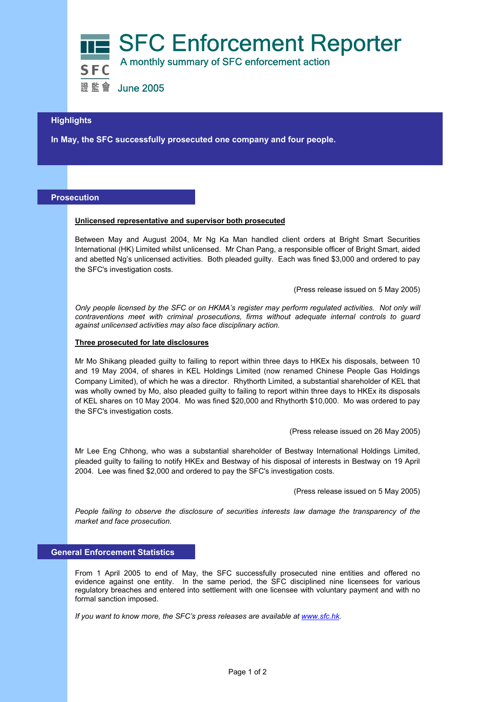

## **Highlights**

 **In May, the SFC successfully prosecuted one company and four people.** 

# **Prosecution**

#### **Unlicensed representative and supervisor both prosecuted**

Between May and August 2004, Mr Ng Ka Man handled client orders at Bright Smart Securities International (HK) Limited whilst unlicensed. Mr Chan Pang, a responsible officer of Bright Smart, aided and abetted Ng's unlicensed activities. Both pleaded guilty. Each was fined \$3,000 and ordered to pay the SFC's investigation costs.

(Press release issued on 5 May 2005)

*Only people licensed by the SFC or on HKMA's register may perform regulated activities. Not only will contraventions meet with criminal prosecutions, firms without adequate internal controls to guard against unlicensed activities may also face disciplinary action.* 

### **Three prosecuted for late disclosures**

Mr Mo Shikang pleaded guilty to failing to report within three days to HKEx his disposals, between 10 and 19 May 2004, of shares in KEL Holdings Limited (now renamed Chinese People Gas Holdings Company Limited), of which he was a director. Rhythorth Limited, a substantial shareholder of KEL that was wholly owned by Mo, also pleaded guilty to failing to report within three days to HKEx its disposals of KEL shares on 10 May 2004. Mo was fined \$20,000 and Rhythorth \$10,000. Mo was ordered to pay the SFC's investigation costs.

(Press release issued on 26 May 2005)

Mr Lee Eng Chhong, who was a substantial shareholder of Bestway International Holdings Limited, pleaded guilty to failing to notify HKEx and Bestway of his disposal of interests in Bestway on 19 April 2004. Lee was fined \$2,000 and ordered to pay the SFC's investigation costs.

(Press release issued on 5 May 2005)

*People failing to observe the disclosure of securities interests law damage the transparency of the market and face prosecution.*

## **General Enforcement Statistics**

From 1 April 2005 to end of May, the SFC successfully prosecuted nine entities and offered no evidence against one entity. In the same period, the SFC disciplined nine licensees for various regulatory breaches and entered into settlement with one licensee with voluntary payment and with no formal sanction imposed.

*If you want to know more, the SFC's press releases are available at www.sfc.hk.*